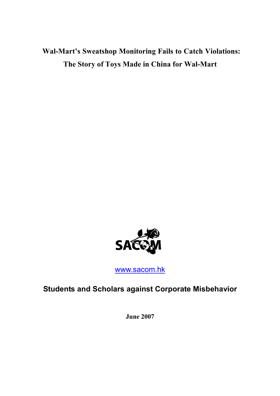Wal-Mart's Sweatshop Monitoring Fails to Catch Violations: The Story of Toys Made in China for Wal-Mart



www.sacom.hk

Students and Scholars against Corporate Misbehavior

June 2007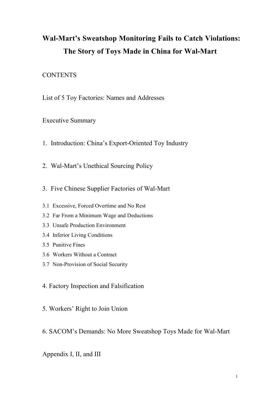# Wal-Mart's Sweatshop Monitoring Fails to Catch Violations: The Story of Toys Made in China for Wal-Mart

# **CONTENTS**

List of 5 Toy Factories: Names and Addresses

Executive Summary

- 1. Introduction: China's Export-Oriented Toy Industry
- 2. Wal-Mart's Unethical Sourcing Policy
- 3. Five Chinese Supplier Factories of Wal-Mart
- 3.1 Excessive, Forced Overtime and No Rest
- 3.2 Far From a Minimum Wage and Deductions
- 3.3 Unsafe Production Environment
- 3.4 Inferior Living Conditions
- 3.5 Punitive Fines
- 3.6 Workers Without a Contract
- 3.7 Non-Provision of Social Security
- 4. Factory Inspection and Falsification
- 5. Workers' Right to Join Union
- 6. SACOM's Demands: No More Sweatshop Toys Made for Wal-Mart

Appendix I, II, and III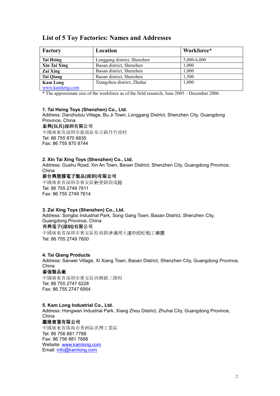# List of 5 Toy Factories: Names and Addresses

| Factory          | Location                    | Workforce*  |
|------------------|-----------------------------|-------------|
| Tai Hsing        | Longgang district, Shenzhen | 5,000-6,000 |
| Xin Tai Xing     | Baoan district, Shenzhen    | 1.000       |
| Zai Xing         | Baoan district, Shenzhen    | 1,000       |
| <b>Tai Qiang</b> | Baoan district, Shenzhen    | 1,500       |
| <b>Kam Long</b>  | Xiangzhou district, Zhuhai  | 1,000       |
| www.kamlong.com  |                             |             |

\* The approximate size of the workforce as of the field research, June 2005 – December 2006.

#### 1. Tai Hsing Toys (Shenzhen) Co., Ltd.

Address: Danzhutou Village, Bu Ji Town, Longgang District, Shenzhen City, Guangdong Province, China

#### 泰興(玩具)深圳有限公司

中國廣東省深圳市龍崗區布吉鎮丹竹頭村 Tel: 86 755 870 8835 Fax: 86 755 870 8744

#### 2. Xin Tai Xing Toys (Shenzhen) Co., Ltd.

Address: Gushu Road, Xin An Town, Baoan District, Shenzhen City, Guangdong Province, China

## 新台興塑膠電子製品(深圳)有限公司

中國廣東省深圳市寶安區新安鎮固戍路 Tel: 86 755 2749 7611 Fax: 86 755 2749 7614

## 3. Zai Xing Toys (Shenzhen) Co., Ltd.

Address: Songbo Industrial Park, Song Gang Town, Baoan District, Shenzhen City, Guangdong Province, China 再興電子(深圳)有限公司

中國廣東省深圳市寶安區松崗鎮洋涌河大道中段松柏工業園 Tel: 86 755 2749 7600

## 4. Tai Qiang Products

Address: Sanwei Village, Xi Xiang Town, Baoan District, Shenzhen City, Guangdong Province, China

# 泰強製品廠

中國廣東省深圳市寶安區西鄉鎮三圍村 Tel: 86 755 2747 6228 Fax: 86 755 2747 6954

#### 5. Kam Long Industrial Co., Ltd.

Address: Hongwan Industrial Park, Xiang Zhou District, Zhuhai City, Guangdong Province, China

## 鑑隆實業有限公司

中國廣東省珠海市香洲區洪灣工業區 Tel: 86 756 881 7788 Fax: 86 756 881 7688 Website: www.kamlong.com Email: info@kamlong.com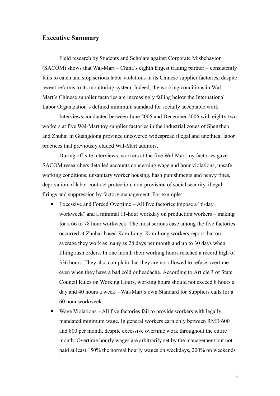# Executive Summary

Field research by Students and Scholars against Corporate Misbehavior (SACOM) shows that Wal-Mart – China's eighth largest trading partner – consistently fails to catch and stop serious labor violations in its Chinese supplier factories, despite recent reforms to its monitoring system. Indeed, the working conditions in Wal-Mart's Chinese supplier factories are increasingly falling below the International Labor Organization's defined minimum standard for socially acceptable work.

Interviews conducted between June 2005 and December 2006 with eighty-two workers at five Wal-Mart toy supplier factories in the industrial zones of Shenzhen and Zhuhai in Guangdong province uncovered widespread illegal and unethical labor practices that previously eluded Wal-Mart auditors.

During off-site interviews, workers at the five Wal-Mart toy factories gave SACOM researchers detailed accounts concerning wage and hour violations, unsafe working conditions, unsanitary worker housing, hash punishments and heavy fines, deprivation of labor contract protection, non-provision of social security, illegal firings and suppression by factory management. For example:

- Excessive and Forced Overtime All five factories impose a "6-day workweek" and a minimal 11-hour workday on production workers – making for a 66 to 78 hour workweek. The most serious case among the five factories occurred at Zhuhai-based Kam Long. Kam Long workers report that on average they work as many as 28 days per month and up to 30 days when filling rush orders. In one month their working hours reached a record high of 336 hours. They also complain that they are not allowed to refuse overtime – even when they have a bad cold or headache. According to Article 3 of State Council Rules on Working Hours, working hours should not exceed 8 hours a day and 40 hours a week – Wal-Mart's own Standard for Suppliers calls for a 60 hour workweek.
- Wage Violations All five factories fail to provide workers with legally mandated minimum wage. In general workers earn only between RMB 600 and 800 per month, despite excessive overtime work throughout the entire month. Overtime hourly wages are arbitrarily set by the management but not paid at least 150% the normal hourly wages on weekdays, 200% on weekends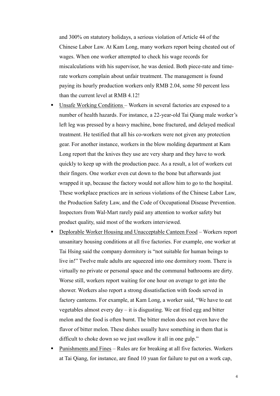and 300% on statutory holidays, a serious violation of Article 44 of the Chinese Labor Law. At Kam Long, many workers report being cheated out of wages. When one worker attempted to check his wage records for miscalculations with his supervisor, he was denied. Both piece-rate and timerate workers complain about unfair treatment. The management is found paying its hourly production workers only RMB 2.04, some 50 percent less than the current level at RMB 4.12!

- Unsafe Working Conditions Workers in several factories are exposed to a number of health hazards. For instance, a 22-year-old Tai Qiang male worker's left leg was pressed by a heavy machine, bone fractured, and delayed medical treatment. He testified that all his co-workers were not given any protection gear. For another instance, workers in the blow molding department at Kam Long report that the knives they use are very sharp and they have to work quickly to keep up with the production pace. As a result, a lot of workers cut their fingers. One worker even cut down to the bone but afterwards just wrapped it up, because the factory would not allow him to go to the hospital. These workplace practices are in serious violations of the Chinese Labor Law, the Production Safety Law, and the Code of Occupational Disease Prevention. Inspectors from Wal-Mart rarely paid any attention to worker safety but product quality, said most of the workers interviewed.
- Deplorable Worker Housing and Unacceptable Canteen Food Workers report unsanitary housing conditions at all five factories. For example, one worker at Tai Hsing said the company dormitory is "not suitable for human beings to live in!" Twelve male adults are squeezed into one dormitory room. There is virtually no private or personal space and the communal bathrooms are dirty. Worse still, workers report waiting for one hour on average to get into the shower. Workers also report a strong dissatisfaction with foods served in factory canteens. For example, at Kam Long, a worker said, "We have to eat vegetables almost every day – it is disgusting. We eat fried egg and bitter melon and the food is often burnt. The bitter melon does not even have the flavor of bitter melon. These dishes usually have something in them that is difficult to choke down so we just swallow it all in one gulp."
- Punishments and Fines Rules are for breaking at all five factories. Workers at Tai Qiang, for instance, are fined 10 yuan for failure to put on a work cap,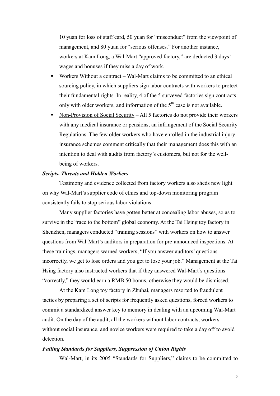10 yuan for loss of staff card, 50 yuan for "misconduct" from the viewpoint of management, and 80 yuan for "serious offenses." For another instance, workers at Kam Long, a Wal-Mart "approved factory," are deducted 3 days' wages and bonuses if they miss a day of work.

- Workers Without a contract Wal-Mart claims to be committed to an ethical sourcing policy, in which suppliers sign labor contracts with workers to protect their fundamental rights. In reality, 4 of the 5 surveyed factories sign contracts only with older workers, and information of the  $5<sup>th</sup>$  case is not available.
- Non-Provision of Social Security All 5 factories do not provide their workers with any medical insurance or pensions, an infringement of the Social Security Regulations. The few older workers who have enrolled in the industrial injury insurance schemes comment critically that their management does this with an intention to deal with audits from factory's customers, but not for the wellbeing of workers.

### Scripts, Threats and Hidden Workers

Testimony and evidence collected from factory workers also sheds new light on why Wal-Mart's supplier code of ethics and top-down monitoring program consistently fails to stop serious labor violations.

Many supplier factories have gotten better at concealing labor abuses, so as to survive in the "race to the bottom" global economy. At the Tai Hsing toy factory in Shenzhen, managers conducted "training sessions" with workers on how to answer questions from Wal-Mart's auditors in preparation for pre-announced inspections. At these trainings, managers warned workers, "If you answer auditors' questions incorrectly, we get to lose orders and you get to lose your job." Management at the Tai Hsing factory also instructed workers that if they answered Wal-Mart's questions "correctly," they would earn a RMB 50 bonus, otherwise they would be dismissed.

At the Kam Long toy factory in Zhuhai, managers resorted to fraudulent tactics by preparing a set of scripts for frequently asked questions, forced workers to commit a standardized answer key to memory in dealing with an upcoming Wal-Mart audit. On the day of the audit, all the workers without labor contracts, workers without social insurance, and novice workers were required to take a day off to avoid detection.

### Failing Standards for Suppliers, Suppression of Union Rights

Wal-Mart, in its 2005 "Standards for Suppliers," claims to be committed to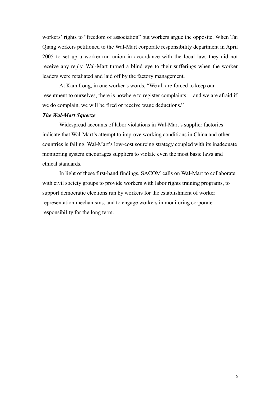workers' rights to "freedom of association" but workers argue the opposite. When Tai Qiang workers petitioned to the Wal-Mart corporate responsibility department in April 2005 to set up a worker-run union in accordance with the local law, they did not receive any reply. Wal-Mart turned a blind eye to their sufferings when the worker leaders were retaliated and laid off by the factory management.

 At Kam Long, in one worker's words, "We all are forced to keep our resentment to ourselves, there is nowhere to register complaints… and we are afraid if we do complain, we will be fired or receive wage deductions."

# The Wal-Mart Squeeze

Widespread accounts of labor violations in Wal-Mart's supplier factories indicate that Wal-Mart's attempt to improve working conditions in China and other countries is failing. Wal-Mart's low-cost sourcing strategy coupled with its inadequate monitoring system encourages suppliers to violate even the most basic laws and ethical standards.

In light of these first-hand findings, SACOM calls on Wal-Mart to collaborate with civil society groups to provide workers with labor rights training programs, to support democratic elections run by workers for the establishment of worker representation mechanisms, and to engage workers in monitoring corporate responsibility for the long term.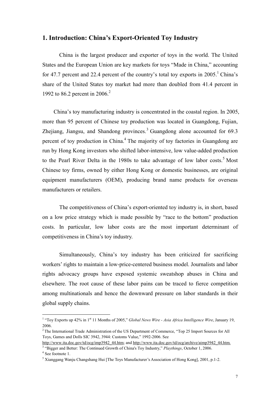# 1. Introduction: China's Export-Oriented Toy Industry

China is the largest producer and exporter of toys in the world. The United States and the European Union are key markets for toys "Made in China," accounting for 47.7 percent and 22.4 percent of the country's total toy exports in  $2005$ .<sup>1</sup> China's share of the United States toy market had more than doubled from 41.4 percent in 1992 to 86.2 percent in 2006.<sup>2</sup>

China's toy manufacturing industry is concentrated in the coastal region. In 2005, more than 95 percent of Chinese toy production was located in Guangdong, Fujian, Zhejiang, Jiangsu, and Shandong provinces.<sup>3</sup> Guangdong alone accounted for  $69.3$ percent of toy production in China.<sup>4</sup> The majority of toy factories in Guangdong are run by Hong Kong investors who shifted labor-intensive, low value-added production to the Pearl River Delta in the 1980s to take advantage of low labor costs.<sup>5</sup> Most Chinese toy firms, owned by either Hong Kong or domestic businesses, are original equipment manufacturers (OEM), producing brand name products for overseas manufacturers or retailers.

The competitiveness of China's export-oriented toy industry is, in short, based on a low price strategy which is made possible by "race to the bottom" production costs. In particular, low labor costs are the most important determinant of competitiveness in China's toy industry.

Simultaneously, China's toy industry has been criticized for sacrificing workers' rights to maintain a low-price-centered business model. Journalists and labor rights advocacy groups have exposed systemic sweatshop abuses in China and elsewhere. The root cause of these labor pains can be traced to fierce competition among multinationals and hence the downward pressure on labor standards in their global supply chains.

<sup>&</sup>lt;sup>1</sup> "Toy Exports up 42% in 1<sup>st</sup> 11 Months of 2005," *Global News Wire - Asia Africa Intelligence Wire*, January 19, 2006.

<sup>&</sup>lt;sup>2</sup> The International Trade Administration of the US Department of Commerce, "Top 25 Import Sources for All Toys, Games and Dolls SIC 3942, 3944: Customs Value," 1992-2006. See

http://www.ita.doc.gov/td/ocg/imp3942\_44.htm; and http://www.ita.doc.gov/td/ocg/archive/aimp3942\_44.htm. <sup>3</sup> "Bigger and Better: The Continued Growth of China's Toy Industry," Playthings, October 1, 2006.

<sup>4</sup> See footnote 1.

<sup>&</sup>lt;sup>5</sup> Xianggang Wanju Changshang Hui [The Toys Manufacturer's Association of Hong Kong], 2001, p.1-2.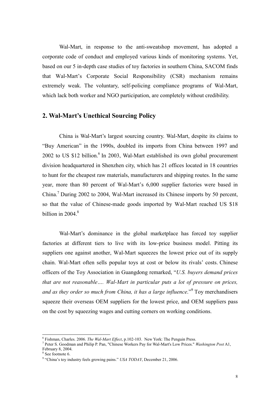Wal-Mart, in response to the anti-sweatshop movement, has adopted a corporate code of conduct and employed various kinds of monitoring systems. Yet, based on our 5 in-depth case studies of toy factories in southern China, SACOM finds that Wal-Mart's Corporate Social Responsibility (CSR) mechanism remains extremely weak. The voluntary, self-policing compliance programs of Wal-Mart, which lack both worker and NGO participation, are completely without credibility.

# 2. Wal-Mart's Unethical Sourcing Policy

China is Wal-Mart's largest sourcing country. Wal-Mart, despite its claims to "Buy American" in the 1990s, doubled its imports from China between 1997 and 2002 to US \$12 billion. $6$  In 2003, Wal-Mart established its own global procurement division headquartered in Shenzhen city, which has 21 offices located in 18 countries to hunt for the cheapest raw materials, manufacturers and shipping routes. In the same year, more than 80 percent of Wal-Mart's 6,000 supplier factories were based in China.<sup>7</sup> During 2002 to 2004, Wal-Mart increased its Chinese imports by 50 percent, so that the value of Chinese-made goods imported by Wal-Mart reached US \$18 billion in 2004. $8$ 

Wal-Mart's dominance in the global marketplace has forced toy supplier factories at different tiers to live with its low-price business model. Pitting its suppliers one against another, Wal-Mart squeezes the lowest price out of its supply chain. Wal-Mart often sells popular toys at cost or below its rivals' costs. Chinese officers of the Toy Association in Guangdong remarked, "U.S. buyers demand prices that are not reasonable…. Wal-Mart in particular puts a lot of pressure on prices, and as they order so much from China, it has a large influence."<sup>9</sup> Toy merchandisers squeeze their overseas OEM suppliers for the lowest price, and OEM suppliers pass on the cost by squeezing wages and cutting corners on working conditions.

 $\overline{a}$ 

 $6$  Fishman, Charles. 2006. The Wal-Mart Effect, p.102-103. New York: The Penguin Press.

<sup>&</sup>lt;sup>7</sup> Peter S. Goodman and Philip P. Pan, "Chinese Workers Pay for Wal-Mart's Low Prices." Washington Post A1, February 8, 2004.

<sup>8</sup> See footnote 6.

 $9$  "China's toy industry feels growing pains." USA TODAY, December 21, 2006.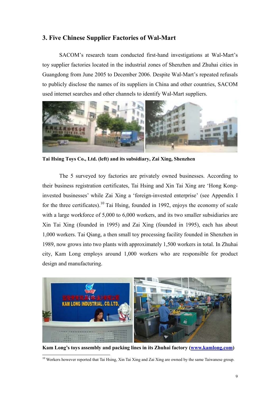# 3. Five Chinese Supplier Factories of Wal-Mart

SACOM's research team conducted first-hand investigations at Wal-Mart's toy supplier factories located in the industrial zones of Shenzhen and Zhuhai cities in Guangdong from June 2005 to December 2006. Despite Wal-Mart's repeated refusals to publicly disclose the names of its suppliers in China and other countries, SACOM used internet searches and other channels to identify Wal-Mart suppliers.



Tai Hsing Toys Co., Ltd. (left) and its subsidiary, Zai Xing, Shenzhen

The 5 surveyed toy factories are privately owned businesses. According to their business registration certificates, Tai Hsing and Xin Tai Xing are 'Hong Konginvested businesses' while Zai Xing a 'foreign-invested enterprise' (see Appendix I for the three certificates).<sup>10</sup> Tai Hsing, founded in 1992, enjoys the economy of scale with a large workforce of 5,000 to 6,000 workers, and its two smaller subsidiaries are Xin Tai Xing (founded in 1995) and Zai Xing (founded in 1995), each has about 1,000 workers. Tai Qiang, a then small toy processing facility founded in Shenzhen in 1989, now grows into two plants with approximately 1,500 workers in total. In Zhuhai city, Kam Long employs around 1,000 workers who are responsible for product design and manufacturing.



Kam Long's toys assembly and packing lines in its Zhuhai factory (www.kamlong.com)

 $\ddot{ }$  $10$  Workers however reported that Tai Hsing, Xin Tai Xing and Zai Xing are owned by the same Taiwanese group.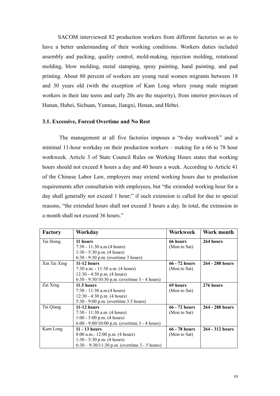SACOM interviewed 82 production workers from different factories so as to have a better understanding of their working conditions. Workers duties included assembly and packing, quality control, mold-making, injection molding, rotational molding, blow molding, metal stamping, spray painting, hand painting, and pad printing. About 80 percent of workers are young rural women migrants between 18 and 30 years old (with the exception of Kam Long where young male migrant workers in their late teens and early 20s are the majority), from interior provinces of Hunan, Hubei, Sichuan, Yunnan, Jiangxi, Henan, and Hebei.

# 3.1. Excessive, Forced Overtime and No Rest

 The management at all five factories imposes a "6-day workweek" and a minimal 11-hour workday on their production workers – making for a 66 to 78 hour workweek. Article 3 of State Council Rules on Working Hours states that working hours should not exceed 8 hours a day and 40 hours a week. According to Article 41 of the Chinese Labor Law, employers may extend working hours due to production requirements after consultation with employees, but "the extended working hour for a day shall generally not exceed 1 hour;" if such extension is called for due to special reasons, "the extended hours shall not exceed 3 hours a day. In total, the extension in a month shall not exceed 36 hours."

| Factory      | Workday                                         | Workweek        | Work month      |
|--------------|-------------------------------------------------|-----------------|-----------------|
| Tai Hsing    | 11 hours                                        | 66 hours        | 264 hours       |
|              | $7:30 - 11:30$ a.m.(4 hours)                    | (Mon to Sat)    |                 |
|              | 1:30 - 5:30 p.m. $(4 hours)$                    |                 |                 |
|              | $6:30 - 9:30$ p.m. (overtime 3 hours)           |                 |                 |
| Xin Tai Xing | $11-12$ hours                                   | $66 - 72$ hours | 264 - 288 hours |
|              | 7:30 a.m. - 11:30 a.m. (4 hours)                | (Mon to Sat)    |                 |
|              | $12:30 - 4:30$ p.m. (4 hours)                   |                 |                 |
|              | 6:30 - 9:30/10:30 p.m. (overtime $3 - 4$ hours) |                 |                 |
| Zai Xing     | 11.5 hours                                      | 69 hours        | 276 hours       |
|              | $7:30 - 11:30$ a.m. $(4 \text{ hours})$         | (Mon to Sat)    |                 |
|              | $12:30 - 4:30$ p.m. (4 hours)                   |                 |                 |
|              | 5:30 - 9:00 p.m. (overtime 3.5 hours)           |                 |                 |
| Tai Qiang    | $11-12$ hours                                   | 66 - 72 hours   | 264 - 288 hours |
|              | 7:30 - 11:30 a.m. $(4 hours)$                   | (Mon to Sat)    |                 |
|              | $1:00 - 5:00$ p.m. (4 hours)                    |                 |                 |
|              | 6:00 - 9:00/10:00 p.m. (overtime $3 - 4$ hours) |                 |                 |
| Kam Long     | $11 - 13$ hours                                 | 66 - 78 hours   | 264 - 312 hours |
|              | 8:00 a.m. - 12:00 p.m. (4 hours)                | (Mon to Sat)    |                 |
|              | $1:30 - 5:30$ p.m. (4 hours)                    |                 |                 |
|              | 6:30 – 9:30/11:30 p.m. (overtime $3 - 5$ hours) |                 |                 |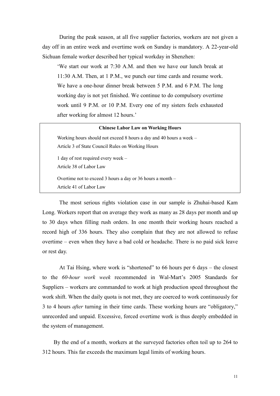During the peak season, at all five supplier factories, workers are not given a day off in an entire week and overtime work on Sunday is mandatory. A 22-year-old Sichuan female worker described her typical workday in Shenzhen:

'We start our work at 7:30 A.M. and then we have our lunch break at 11:30 A.M. Then, at 1 P.M., we punch our time cards and resume work. We have a one-hour dinner break between 5 P.M. and 6 P.M. The long working day is not yet finished. We continue to do compulsory overtime work until 9 P.M. or 10 P.M. Every one of my sisters feels exhausted after working for almost 12 hours.'

#### Chinese Labor Law on Working Hours

Working hours should not exceed 8 hours a day and 40 hours a week – Article 3 of State Council Rules on Working Hours 1 day of rest required every week – Article 38 of Labor Law Overtime not to exceed 3 hours a day or 36 hours a month –

Article 41 of Labor Law

The most serious rights violation case in our sample is Zhuhai-based Kam Long. Workers report that on average they work as many as 28 days per month and up to 30 days when filling rush orders. In one month their working hours reached a record high of 336 hours. They also complain that they are not allowed to refuse overtime – even when they have a bad cold or headache. There is no paid sick leave or rest day.

 At Tai Hsing, where work is "shortened" to 66 hours per 6 days – the closest to the 60-hour work week recommended in Wal-Mart's 2005 Standards for Suppliers – workers are commanded to work at high production speed throughout the work shift. When the daily quota is not met, they are coerced to work continuously for 3 to 4 hours after turning in their time cards. These working hours are "obligatory," unrecorded and unpaid. Excessive, forced overtime work is thus deeply embedded in the system of management.

By the end of a month, workers at the surveyed factories often toil up to 264 to 312 hours. This far exceeds the maximum legal limits of working hours.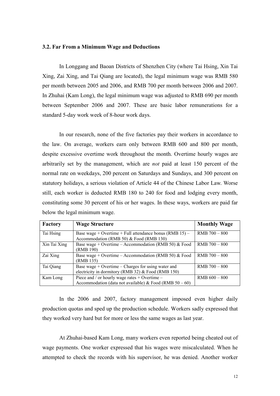## 3.2. Far From a Minimum Wage and Deductions

In Longgang and Baoan Districts of Shenzhen City (where Tai Hsing, Xin Tai Xing, Zai Xing, and Tai Qiang are located), the legal minimum wage was RMB 580 per month between 2005 and 2006, and RMB 700 per month between 2006 and 2007. In Zhuhai (Kam Long), the legal minimum wage was adjusted to RMB 690 per month between September 2006 and 2007. These are basic labor remunerations for a standard 5-day work week of 8-hour work days.

In our research, none of the five factories pay their workers in accordance to the law. On average, workers earn only between RMB 600 and 800 per month, despite excessive overtime work throughout the month. Overtime hourly wages are arbitrarily set by the management, which are not paid at least 150 percent of the normal rate on weekdays, 200 percent on Saturdays and Sundays, and 300 percent on statutory holidays, a serious violation of Article 44 of the Chinese Labor Law. Worse still, each worker is deducted RMB 180 to 240 for food and lodging every month, constituting some 30 percent of his or her wages. In these ways, workers are paid far below the legal minimum wage.

| Factory      | <b>Wage Structure</b>                                                                                           | <b>Monthly Wage</b> |
|--------------|-----------------------------------------------------------------------------------------------------------------|---------------------|
| Tai Hsing    | Base wage + Overtime + Full attendance bonus (RMB 15) –<br>Accommodation (RMB 50) & Food (RMB 130)              | $RMB$ 700 $-$ 800   |
| Xin Tai Xing | Base wage + Overtime – Accommodation (RMB 50) & Food<br>(RMB 190)                                               | $RMB$ 700 – 800     |
| Zai Xing     | Base wage + Overtime – Accommodation (RMB 50) & Food<br>(RMB 135)                                               | $RMB$ 700 – 800     |
| Tai Qiang    | Base wage + Overtime – Charges for using water and<br>electricity in dormitory (RMB 32) $&$ Food (RMB 150)      | $RMB$ 700 $-800$    |
| Kam Long     | Piece and / or hourly wage rates $+$ Overtime $-$<br>Accommodation (data not available) & Food (RMB $50 - 60$ ) | $RMB 600 - 800$     |

In the 2006 and 2007, factory management imposed even higher daily production quotas and sped up the production schedule. Workers sadly expressed that they worked very hard but for more or less the same wages as last year.

At Zhuhai-based Kam Long, many workers even reported being cheated out of wage payments. One worker expressed that his wages were miscalculated. When he attempted to check the records with his supervisor, he was denied. Another worker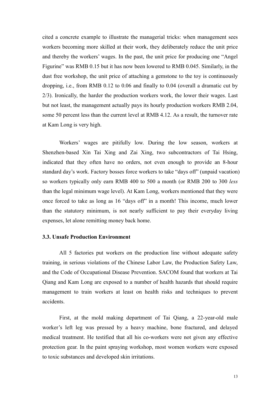cited a concrete example to illustrate the managerial tricks: when management sees workers becoming more skilled at their work, they deliberately reduce the unit price and thereby the workers' wages. In the past, the unit price for producing one "Angel Figurine" was RMB 0.15 but it has now been lowered to RMB 0.045. Similarly, in the dust free workshop, the unit price of attaching a gemstone to the toy is continuously dropping, i.e., from RMB 0.12 to 0.06 and finally to 0.04 (overall a dramatic cut by 2/3). Ironically, the harder the production workers work, the lower their wages. Last but not least, the management actually pays its hourly production workers RMB 2.04, some 50 percent less than the current level at RMB 4.12. As a result, the turnover rate at Kam Long is very high.

Workers' wages are pitifully low. During the low season, workers at Shenzhen-based Xin Tai Xing and Zai Xing, two subcontractors of Tai Hsing, indicated that they often have no orders, not even enough to provide an 8-hour standard day's work. Factory bosses force workers to take "days off" (unpaid vacation) so workers typically only earn RMB 400 to 500 a month (or RMB 200 to 300 less than the legal minimum wage level). At Kam Long, workers mentioned that they were once forced to take as long as 16 "days off" in a month! This income, much lower than the statutory minimum, is not nearly sufficient to pay their everyday living expenses, let alone remitting money back home.

# 3.3. Unsafe Production Environment

All 5 factories put workers on the production line without adequate safety training, in serious violations of the Chinese Labor Law, the Production Safety Law, and the Code of Occupational Disease Prevention. SACOM found that workers at Tai Qiang and Kam Long are exposed to a number of health hazards that should require management to train workers at least on health risks and techniques to prevent accidents.

First, at the mold making department of Tai Qiang, a 22-year-old male worker's left leg was pressed by a heavy machine, bone fractured, and delayed medical treatment. He testified that all his co-workers were not given any effective protection gear. In the paint spraying workshop, most women workers were exposed to toxic substances and developed skin irritations.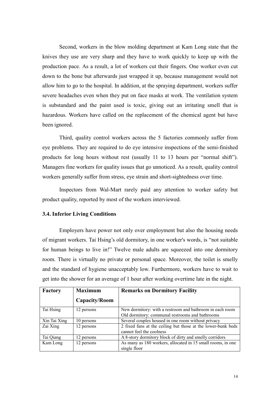Second, workers in the blow molding department at Kam Long state that the knives they use are very sharp and they have to work quickly to keep up with the production pace. As a result, a lot of workers cut their fingers. One worker even cut down to the bone but afterwards just wrapped it up, because management would not allow him to go to the hospital. In addition, at the spraying department, workers suffer severe headaches even when they put on face masks at work. The ventilation system is substandard and the paint used is toxic, giving out an irritating smell that is hazardous. Workers have called on the replacement of the chemical agent but have been ignored.

 Third, quality control workers across the 5 factories commonly suffer from eye problems. They are required to do eye intensive inspections of the semi-finished products for long hours without rest (usually 11 to 13 hours per "normal shift"). Managers fine workers for quality issues that go unnoticed. As a result, quality control workers generally suffer from stress, eye strain and short-sightedness over time.

 Inspectors from Wal-Mart rarely paid any attention to worker safety but product quality, reported by most of the workers interviewed.

# 3.4. Inferior Living Conditions

Employers have power not only over employment but also the housing needs of migrant workers. Tai Hsing's old dormitory, in one worker's words, is "not suitable for human beings to live in!" Twelve male adults are squeezed into one dormitory room. There is virtually no private or personal space. Moreover, the toilet is smelly and the standard of hygiene unacceptably low. Furthermore, workers have to wait to get into the shower for an average of 1 hour after working overtime late in the night.

| Factory      | <b>Maximum</b> | <b>Remarks on Dormitory Facility</b>                                                                        |  |
|--------------|----------------|-------------------------------------------------------------------------------------------------------------|--|
|              | Capacity/Room  |                                                                                                             |  |
| Tai Hsing    | 12 persons     | New dormitory: with a restroom and bathroom in each room<br>Old dormitory: communal restrooms and bathrooms |  |
| Xin Tai Xing | 10 persons     | Several couples housed in one room without privacy                                                          |  |
| Zai Xing     | 12 persons     | 2 fixed fans at the ceiling but those at the lower-bunk beds<br>cannot feel the coolness                    |  |
| Tai Qiang    | 12 persons     | A 8-story dormitory block of dirty and smelly corridors                                                     |  |
| Kam Long     | 12 persons     | As many as 180 workers, allocated in 15 small rooms, in one<br>single floor                                 |  |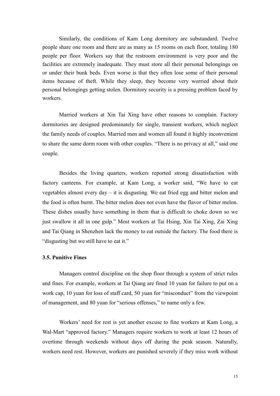Similarly, the conditions of Kam Long dormitory are substandard. Twelve people share one room and there are as many as 15 rooms on each floor, totaling 180 people per floor. Workers say that the restroom environment is very poor and the facilities are extremely inadequate. They must store all their personal belongings on or under their bunk beds. Even worse is that they often lose some of their personal items because of theft. While they sleep, they become very worried about their personal belongings getting stolen. Dormitory security is a pressing problem faced by workers.

Married workers at Xin Tai Xing have other reasons to complain. Factory dormitories are designed predominately for single, transient workers, which neglect the family needs of couples. Married men and women all found it highly inconvenient to share the same dorm room with other couples. "There is no privacy at all," said one couple.

Besides the living quarters, workers reported strong dissatisfaction with factory canteens. For example, at Kam Long, a worker said, "We have to eat vegetables almost every day – it is disgusting. We eat fried egg and bitter melon and the food is often burnt. The bitter melon does not even have the flavor of bitter melon. These dishes usually have something in them that is difficult to choke down so we just swallow it all in one gulp." Most workers at Tai Hsing, Xin Tai Xing, Zai Xing and Tai Qiang in Shenzhen lack the money to eat outside the factory. The food there is "disgusting but we still have to eat it."

## 3.5. Punitive Fines

 Managers control discipline on the shop floor through a system of strict rules and fines. For example, workers at Tai Qiang are fined 10 yuan for failure to put on a work cap, 10 yuan for loss of staff card, 50 yuan for "misconduct" from the viewpoint of management, and 80 yuan for "serious offenses," to name only a few.

 Workers' need for rest is yet another excuse to fine workers at Kam Long, a Wal-Mart "approved factory." Managers require workers to work at least 12 hours of overtime through weekends without days off during the peak season. Naturally, workers need rest. However, workers are punished severely if they miss work without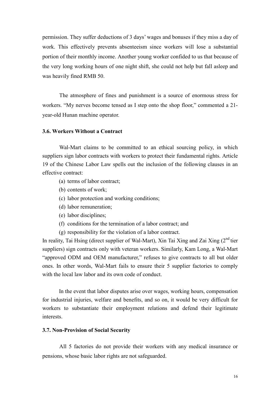permission. They suffer deductions of 3 days' wages and bonuses if they miss a day of work. This effectively prevents absenteeism since workers will lose a substantial portion of their monthly income. Another young worker confided to us that because of the very long working hours of one night shift, she could not help but fall asleep and was heavily fined RMB 50.

The atmosphere of fines and punishment is a source of enormous stress for workers. "My nerves become tensed as I step onto the shop floor," commented a 21 year-old Hunan machine operator.

# 3.6. Workers Without a Contract

Wal-Mart claims to be committed to an ethical sourcing policy, in which suppliers sign labor contracts with workers to protect their fundamental rights. Article 19 of the Chinese Labor Law spells out the inclusion of the following clauses in an effective contract:

- (a) terms of labor contract;
- (b) contents of work;
- (c) labor protection and working conditions;
- (d) labor remuneration;
- (e) labor disciplines;
- (f) conditions for the termination of a labor contract; and
- (g) responsibility for the violation of a labor contract.

In reality, Tai Hsing (direct supplier of Wal-Mart), Xin Tai Xing and Zai Xing  $(2<sup>nd</sup>$  tier suppliers) sign contracts only with veteran workers. Similarly, Kam Long, a Wal-Mart "approved ODM and OEM manufacturer," refuses to give contracts to all but older ones. In other words, Wal-Mart fails to ensure their 5 supplier factories to comply with the local law labor and its own code of conduct.

In the event that labor disputes arise over wages, working hours, compensation for industrial injuries, welfare and benefits, and so on, it would be very difficult for workers to substantiate their employment relations and defend their legitimate interests.

# 3.7. Non-Provision of Social Security

All 5 factories do not provide their workers with any medical insurance or pensions, whose basic labor rights are not safeguarded.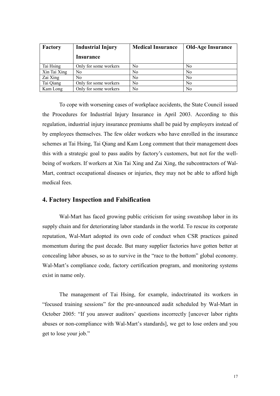| Factory      | <b>Industrial Injury</b> | <b>Medical Insurance</b> | <b>Old-Age Insurance</b> |  |
|--------------|--------------------------|--------------------------|--------------------------|--|
|              | Insurance                |                          |                          |  |
| Tai Hsing    | Only for some workers    | N <sub>0</sub>           | N <sub>0</sub>           |  |
| Xin Tai Xing | No                       | No                       | N <sub>0</sub>           |  |
| Zai Xing     | No                       | N <sub>0</sub>           | N <sub>0</sub>           |  |
| Tai Qiang    | Only for some workers    | N <sub>0</sub>           | N <sub>0</sub>           |  |
| Kam Long     | Only for some workers    | N <sub>0</sub>           | N <sub>0</sub>           |  |

To cope with worsening cases of workplace accidents, the State Council issued the Procedures for Industrial Injury Insurance in April 2003. According to this regulation, industrial injury insurance premiums shall be paid by employers instead of by employees themselves. The few older workers who have enrolled in the insurance schemes at Tai Hsing, Tai Qiang and Kam Long comment that their management does this with a strategic goal to pass audits by factory's customers, but not for the wellbeing of workers. If workers at Xin Tai Xing and Zai Xing, the subcontractors of Wal-Mart, contract occupational diseases or injuries, they may not be able to afford high medical fees.

# 4. Factory Inspection and Falsification

Wal-Mart has faced growing public criticism for using sweatshop labor in its supply chain and for deteriorating labor standards in the world. To rescue its corporate reputation, Wal-Mart adopted its own code of conduct when CSR practices gained momentum during the past decade. But many supplier factories have gotten better at concealing labor abuses, so as to survive in the "race to the bottom" global economy. Wal-Mart's compliance code, factory certification program, and monitoring systems exist in name only.

The management of Tai Hsing, for example, indoctrinated its workers in "focused training sessions" for the pre-announced audit scheduled by Wal-Mart in October 2005: "If you answer auditors' questions incorrectly [uncover labor rights abuses or non-compliance with Wal-Mart's standards], we get to lose orders and you get to lose your job."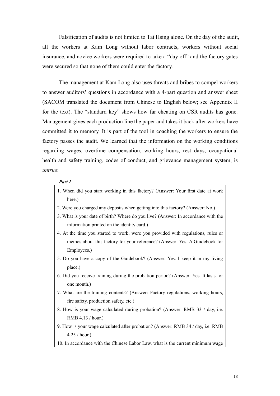Falsification of audits is not limited to Tai Hsing alone. On the day of the audit, all the workers at Kam Long without labor contracts, workers without social insurance, and novice workers were required to take a "day off" and the factory gates were secured so that none of them could enter the factory.

The management at Kam Long also uses threats and bribes to compel workers to answer auditors' questions in accordance with a 4-part question and answer sheet (SACOM translated the document from Chinese to English below; see Appendix II for the text). The "standard key" shows how far cheating on CSR audits has gone. Management gives each production line the paper and takes it back after workers have committed it to memory. It is part of the tool in coaching the workers to ensure the factory passes the audit. We learned that the information on the working conditions regarding wages, overtime compensation, working hours, rest days, occupational health and safety training, codes of conduct, and grievance management system, is untrue:

# Part I

- 1. When did you start working in this factory? (Answer: Your first date at work here.)
- 2. Were you charged any deposits when getting into this factory? (Answer: No.)
- 3. What is your date of birth? Where do you live? (Answer: In accordance with the information printed on the identity card.)
- 4. At the time you started to work, were you provided with regulations, rules or memos about this factory for your reference? (Answer: Yes. A Guidebook for Employees.)
- 5. Do you have a copy of the Guidebook? (Answer: Yes. I keep it in my living place.)
- 6. Did you receive training during the probation period? (Answer: Yes. It lasts for one month.)
- 7. What are the training contents? (Answer: Factory regulations, working hours, fire safety, production safety, etc.)
- 8. How is your wage calculated during probation? (Answer: RMB 33 / day, i.e. RMB 4.13 / hour.)
- 9. How is your wage calculated after probation? (Answer: RMB 34 / day, i.e. RMB 4.25 / hour.)
- 10. In accordance with the Chinese Labor Law, what is the current minimum wage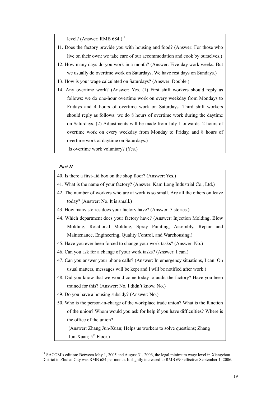level? (Answer: RMB  $684.$ )<sup>11</sup>

- 11. Does the factory provide you with housing and food? (Answer: For those who live on their own: we take care of our accommodation and cook by ourselves.)
- 12. How many days do you work in a month? (Answer: Five-day work weeks. But we usually do overtime work on Saturdays. We have rest days on Sundays.)
- 13. How is your wage calculated on Saturdays? (Answer: Double.)
- 14. Any overtime work? (Answer: Yes. (1) First shift workers should reply as follows: we do one-hour overtime work on every weekday from Mondays to Fridays and 4 hours of overtime work on Saturdays. Third shift workers should reply as follows: we do 8 hours of overtime work during the daytime on Saturdays. (2) Adjustments will be made from July 1 onwards: 2 hours of overtime work on every weekday from Monday to Friday, and 8 hours of overtime work at daytime on Saturdays.)

Is overtime work voluntary? (Yes.)

#### Part II

 $\overline{a}$ 

- 40. Is there a first-aid box on the shop floor? (Answer: Yes.)
- 41. What is the name of your factory? (Answer: Kam Long Industrial Co., Ltd.)
- 42. The number of workers who are at work is so small. Are all the others on leave today? (Answer: No. It is small.)
- 43. How many stories does your factory have? (Answer: 5 stories.)
- 44. Which department does your factory have? (Answer: Injection Molding, Blow Molding, Rotational Molding, Spray Painting, Assembly, Repair and Maintenance, Engineering, Quality Control, and Warehousing.)
- 45. Have you ever been forced to change your work tasks? (Answer: No.)
- 46. Can you ask for a change of your work tasks? (Answer: I can.)
- 47. Can you answer your phone calls? (Answer: In emergency situations, I can. On usual matters, messages will be kept and I will be notified after work.)
- 48. Did you know that we would come today to audit the factory? Have you been trained for this? (Answer: No, I didn't know. No.)
- 49. Do you have a housing subsidy? (Answer: No.)
- 50. Who is the person-in-charge of the workplace trade union? What is the function of the union? Whom would you ask for help if you have difficulties? Where is the office of the union?

(Answer: Zhang Jun-Xuan; Helps us workers to solve questions; Zhang Jun-Xuan:  $5<sup>th</sup>$  Floor.)

<sup>&</sup>lt;sup>11</sup> SACOM's edition: Between May 1, 2005 and August 31, 2006, the legal minimum wage level in Xiangzhou District in Zhuhai City was RMB 684 per month. It slightly increased to RMB 690 effective September 1, 2006.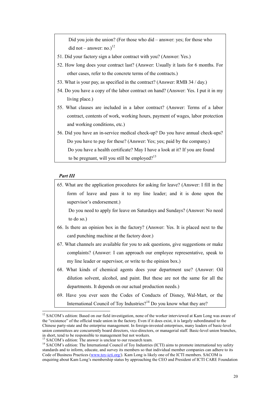Did you join the union? (For those who did – answer: yes; for those who did not – answer: no.) $^{12}$ 

- 51. Did your factory sign a labor contract with you? (Answer: Yes.)
- 52. How long does your contract last? (Answer: Usually it lasts for 6 months. For other cases, refer to the concrete terms of the contracts.)
- 53. What is your pay, as specified in the contract? (Answer: RMB 34 / day.)
- 54. Do you have a copy of the labor contract on hand? (Answer: Yes. I put it in my living place.)
- 55. What clauses are included in a labor contract? (Answer: Terms of a labor contract, contents of work, working hours, payment of wages, labor protection and working conditions, etc.)
- 56. Did you have an in-service medical check-up? Do you have annual check-ups? Do you have to pay for these? (Answer: Yes; yes; paid by the company.) Do you have a health certificate? May I have a look at it? If you are found to be pregnant, will you still be employed?<sup>13</sup>

#### Part III

 $\ddot{ }$ 

- 65. What are the application procedures for asking for leave? (Answer: I fill in the form of leave and pass it to my line leader; and it is done upon the supervisor's endorsement.) Do you need to apply for leave on Saturdays and Sundays? (Answer: No need to do so.) 66. Is there an opinion box in the factory? (Answer: Yes. It is placed next to the card punching machine at the factory door.) 67. What channels are available for you to ask questions, give suggestions or make complaints? (Answer: I can approach our employee representative, speak to my line leader or supervisor, or write to the opinion box.) 68. What kinds of chemical agents does your department use? (Answer: Oil dilution solvent, alcohol, and paint. But these are not the same for all the departments. It depends on our actual production needs.)
- 69. Have you ever seen the Codes of Conducts of Disney, Wal-Mart, or the International Council of Toy Industries?<sup>14</sup> Do you know what they are?

 $12$  SACOM's edition: Based on our field investigation, none of the worker interviewed at Kam Long was aware of the "existence" of the official trade union in the factory. Even if it does exist, it is largely subordinated to the Chinese party-state and the enterprise management. In foreign-invested enterprises, many leaders of basic-level union committees are concurrently board directors, vice-directors, or managerial staff. Basic-level union branches, in short, tend to be responsible to management but not workers.

<sup>&</sup>lt;sup>13</sup> SACOM's edition: The answer is unclear to our research team.

<sup>&</sup>lt;sup>14</sup> SACOM's edition: The International Council of Toy Industries (ICTI) aims to promote international toy safety standards and to inform, educate, and survey its members so that individual member companies can adhere to its Code of Business Practices (www.toy-icti.org/). Kam Long is likely one of the ICTI members. SACOM is enquiring about Kam Long's membership status by approaching the CEO and President of ICTI CARE Foundation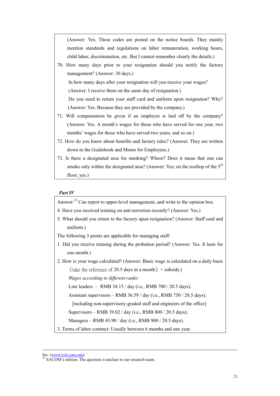(Answer: Yes. These codes are posted on the notice boards. They mainly mention standards and regulations on labor remuneration, working hours, child labor, discrimination, etc. But I cannot remember clearly the details.)

70. How many days prior to your resignation should you notify the factory management? (Answer: 30 days.)

In how many days after your resignation will you receive your wages? (Answer: I receive them on the same day of resignation.)

Do you need to return your staff card and uniform upon resignation? Why? (Answer: Yes. Because they are provided by the company.)

- 71. Will compensation be given if an employee is laid off by the company? (Answer: Yes. A month's wages for those who have served for one year, two months' wages for those who have served two years, and so on.)
- 72. How do you know about benefits and factory rules? (Answer: They are written down in the Guidebook and Memo for Employees.)
- 73. Is there a designated area for smoking? Where? Does it mean that one can smoke only within the designated area? (Answer: Yes; on the rooftop of the  $5<sup>th</sup>$ floor; yes.)

# Part IV

Answer:<sup>15</sup> Can report to upper-level management, and write to the opinion box.

- 4. Have you received training on anti-terrorism recently? (Answer: Yes.)
- 5. What should you return to the factory upon resignation? (Answer: Staff card and uniform.)

The following 3 points are applicable for managing staff:

1. Did you receive training during the probation period? (Answer: Yes. It lasts for one month.)

2. How is your wage calculated? (Answer: Basic wage is calculated on a daily basis  $\langle \text{take the reference of 20.5 days in a month} \rangle + \text{subsidy.}$ 

Wages according to different ranks:

Line leaders – RMB 34.15 / day (i.e., RMB 700 / 20.5 days);

Assistant supervisors – RMB 36.59 / day (i.e., RMB 750 / 20.5 days);

[including non-supervisory-graded staff and engineers of the office]

Supervisors – RMB 39.02 / day (i.e., RMB 800 / 20.5 days);

Managers – RMB 43.90 / day (i.e., RMB 900 / 20.5 days).

3. Terms of labor contract: Usually between 6 months and one year.

 $\overline{a}$ 

Inc. (www.iciti-care.org).

<sup>&</sup>lt;sup>15</sup> SACOM's edition: The question is unclear to our research team.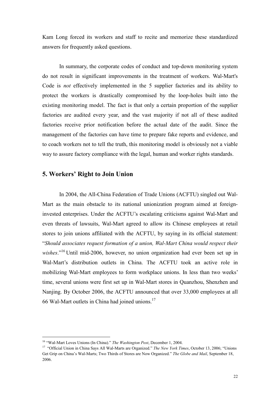Kam Long forced its workers and staff to recite and memorize these standardized answers for frequently asked questions.

 In summary, the corporate codes of conduct and top-down monitoring system do not result in significant improvements in the treatment of workers. Wal-Mart's Code is not effectively implemented in the 5 supplier factories and its ability to protect the workers is drastically compromised by the loop-holes built into the existing monitoring model. The fact is that only a certain proportion of the supplier factories are audited every year, and the vast majority if not all of these audited factories receive prior notification before the actual date of the audit. Since the management of the factories can have time to prepare fake reports and evidence, and to coach workers not to tell the truth, this monitoring model is obviously not a viable way to assure factory compliance with the legal, human and worker rights standards.

# 5. Workers' Right to Join Union

In 2004, the All-China Federation of Trade Unions (ACFTU) singled out Wal-Mart as the main obstacle to its national unionization program aimed at foreigninvested enterprises. Under the ACFTU's escalating criticisms against Wal-Mart and even threats of lawsuits, Wal-Mart agreed to allow its Chinese employees at retail stores to join unions affiliated with the ACFTU, by saying in its official statement: "Should associates request formation of a union, Wal-Mart China would respect their wishes."<sup>16</sup>Until mid-2006, however, no union organization had ever been set up in Wal-Mart's distribution outlets in China. The ACFTU took an active role in mobilizing Wal-Mart employees to form workplace unions. In less than two weeks' time, several unions were first set up in Wal-Mart stores in Quanzhou, Shenzhen and Nanjing. By October 2006, the ACFTU announced that over 33,000 employees at all 66 Wal-Mart outlets in China had joined unions.<sup>17</sup>

 $\overline{a}$ 

<sup>&</sup>lt;sup>16</sup> "Wal-Mart Loves Unions (In China)." The Washington Post, December 1, 2004.

<sup>&</sup>lt;sup>17</sup> "Official Union in China Says All Wal-Marts are Organized." The New York Times, October 13, 2006; "Unions Get Grip on China's Wal-Marts; Two Thirds of Stores are Now Organized." The Globe and Mail, September 18, 2006.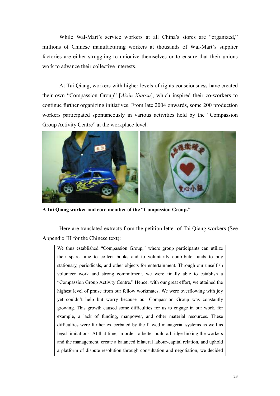While Wal-Mart's service workers at all China's stores are "organized," millions of Chinese manufacturing workers at thousands of Wal-Mart's supplier factories are either struggling to unionize themselves or to ensure that their unions work to advance their collective interests.

At Tai Qiang, workers with higher levels of rights consciousness have created their own "Compassion Group" [Aixin Xiaozu], which inspired their co-workers to continue further organizing initiatives. From late 2004 onwards, some 200 production workers participated spontaneously in various activities held by the "Compassion Group Activity Centre" at the workplace level.



A Tai Qiang worker and core member of the "Compassion Group."

Here are translated extracts from the petition letter of Tai Qiang workers (See Appendix III for the Chinese text):

We thus established "Compassion Group," where group participants can utilize their spare time to collect books and to voluntarily contribute funds to buy stationary, periodicals, and other objects for entertainment. Through our unselfish volunteer work and strong commitment, we were finally able to establish a "Compassion Group Activity Centre." Hence, with our great effort, we attained the highest level of praise from our fellow workmates. We were overflowing with joy yet couldn't help but worry because our Compassion Group was constantly growing. This growth caused some difficulties for us to engage in our work, for example, a lack of funding, manpower, and other material resources. These difficulties were further exacerbated by the flawed managerial systems as well as legal limitations. At that time, in order to better build a bridge linking the workers and the management, create a balanced bilateral labour-capital relation, and uphold a platform of dispute resolution through consultation and negotiation, we decided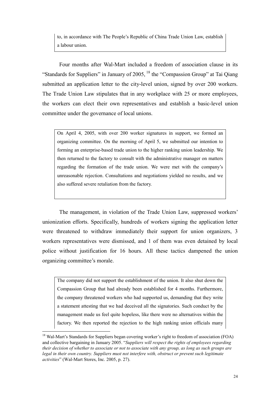to, in accordance with The People's Republic of China Trade Union Law, establish a labour union.

Four months after Wal-Mart included a freedom of association clause in its "Standards for Suppliers" in January of  $2005$ ,  $^{18}$  the "Compassion Group" at Tai Qiang submitted an application letter to the city-level union, signed by over 200 workers. The Trade Union Law stipulates that in any workplace with 25 or more employees, the workers can elect their own representatives and establish a basic-level union committee under the governance of local unions.

On April 4, 2005, with over 200 worker signatures in support, we formed an organizing committee. On the morning of April 5, we submitted our intention to forming an enterprise-based trade union to the higher ranking union leadership. We then returned to the factory to consult with the administrative manager on matters regarding the formation of the trade union. We were met with the company's unreasonable rejection. Consultations and negotiations yielded no results, and we also suffered severe retaliation from the factory.

The management, in violation of the Trade Union Law, suppressed workers' unionization efforts. Specifically, hundreds of workers signing the application letter were threatened to withdraw immediately their support for union organizers, 3 workers representatives were dismissed, and 1 of them was even detained by local police without justification for 16 hours. All these tactics dampened the union organizing committee's morale.

The company did not support the establishment of the union. It also shut down the Compassion Group that had already been established for 4 months. Furthermore, the company threatened workers who had supported us, demanding that they write a statement attesting that we had deceived all the signatories. Such conduct by the management made us feel quite hopeless, like there were no alternatives within the factory. We then reported the rejection to the high ranking union officials many

 $\overline{a}$ 

<sup>&</sup>lt;sup>18</sup> Wal-Mart's Standards for Suppliers began covering worker's right to freedom of association (FOA) and collective bargaining in January 2005. "Suppliers will respect the rights of employees regarding their decision of whether to associate or not to associate with any group, as long as such groups are legal in their own country. Suppliers must not interfere with, obstruct or prevent such legitimate activities" (Wal-Mart Stores, Inc. 2005, p. 27).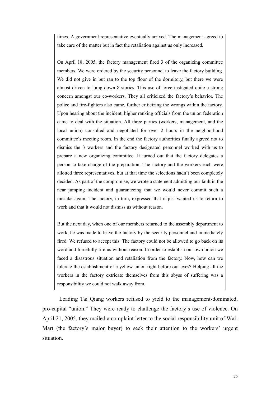times. A government representative eventually arrived. The management agreed to take care of the matter but in fact the retaliation against us only increased.

On April 18, 2005, the factory management fired 3 of the organizing committee members. We were ordered by the security personnel to leave the factory building. We did not give in but ran to the top floor of the dormitory, but there we were almost driven to jump down 8 stories. This use of force instigated quite a strong concern amongst our co-workers. They all criticized the factory's behavior. The police and fire-fighters also came, further criticizing the wrongs within the factory. Upon hearing about the incident, higher ranking officials from the union federation came to deal with the situation. All three parties (workers, management, and the local union) consulted and negotiated for over 2 hours in the neighborhood committee's meeting room. In the end the factory authorities finally agreed not to dismiss the 3 workers and the factory designated personnel worked with us to prepare a new organizing committee. It turned out that the factory delegates a person to take charge of the preparation. The factory and the workers each were allotted three representatives, but at that time the selections hadn't been completely decided. As part of the compromise, we wrote a statement admitting our fault in the near jumping incident and guaranteeing that we would never commit such a mistake again. The factory, in turn, expressed that it just wanted us to return to work and that it would not dismiss us without reason.

But the next day, when one of our members returned to the assembly department to work, he was made to leave the factory by the security personnel and immediately fired. We refused to accept this. The factory could not be allowed to go back on its word and forcefully fire us without reason. In order to establish our own union we faced a disastrous situation and retaliation from the factory. Now, how can we tolerate the establishment of a yellow union right before our eyes? Helping all the workers in the factory extricate themselves from this abyss of suffering was a responsibility we could not walk away from.

Leading Tai Qiang workers refused to yield to the management-dominated, pro-capital "union." They were ready to challenge the factory's use of violence. On April 21, 2005, they mailed a complaint letter to the social responsibility unit of Wal-Mart (the factory's major buyer) to seek their attention to the workers' urgent situation.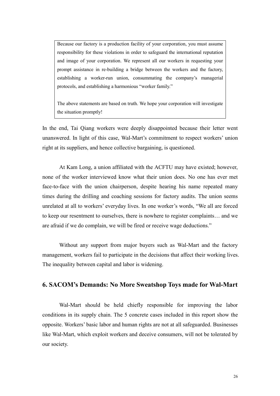Because our factory is a production facility of your corporation, you must assume responsibility for these violations in order to safeguard the international reputation and image of your corporation. We represent all our workers in requesting your prompt assistance in re-building a bridge between the workers and the factory, establishing a worker-run union, consummating the company's managerial protocols, and establishing a harmonious "worker family."

The above statements are based on truth. We hope your corporation will investigate the situation promptly!

In the end, Tai Qiang workers were deeply disappointed because their letter went unanswered. In light of this case, Wal-Mart's commitment to respect workers' union right at its suppliers, and hence collective bargaining, is questioned.

 At Kam Long, a union affiliated with the ACFTU may have existed; however, none of the worker interviewed know what their union does. No one has ever met face-to-face with the union chairperson, despite hearing his name repeated many times during the drilling and coaching sessions for factory audits. The union seems unrelated at all to workers' everyday lives. In one worker's words, "We all are forced to keep our resentment to ourselves, there is nowhere to register complaints… and we are afraid if we do complain, we will be fired or receive wage deductions."

 Without any support from major buyers such as Wal-Mart and the factory management, workers fail to participate in the decisions that affect their working lives. The inequality between capital and labor is widening.

# 6. SACOM's Demands: No More Sweatshop Toys made for Wal-Mart

 Wal-Mart should be held chiefly responsible for improving the labor conditions in its supply chain. The 5 concrete cases included in this report show the opposite. Workers' basic labor and human rights are not at all safeguarded. Businesses like Wal-Mart, which exploit workers and deceive consumers, will not be tolerated by our society.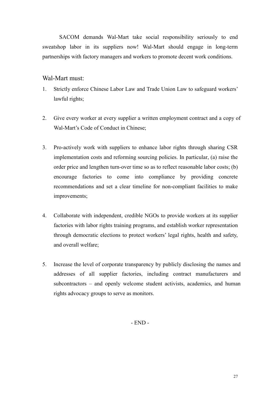SACOM demands Wal-Mart take social responsibility seriously to end sweatshop labor in its suppliers now! Wal-Mart should engage in long-term partnerships with factory managers and workers to promote decent work conditions.

# Wal-Mart must:

- 1. Strictly enforce Chinese Labor Law and Trade Union Law to safeguard workers' lawful rights;
- 2. Give every worker at every supplier a written employment contract and a copy of Wal-Mart's Code of Conduct in Chinese;
- 3. Pro-actively work with suppliers to enhance labor rights through sharing CSR implementation costs and reforming sourcing policies. In particular, (a) raise the order price and lengthen turn-over time so as to reflect reasonable labor costs; (b) encourage factories to come into compliance by providing concrete recommendations and set a clear timeline for non-compliant facilities to make improvements;
- 4. Collaborate with independent, credible NGOs to provide workers at its supplier factories with labor rights training programs, and establish worker representation through democratic elections to protect workers' legal rights, health and safety, and overall welfare;
- 5. Increase the level of corporate transparency by publicly disclosing the names and addresses of all supplier factories, including contract manufacturers and subcontractors – and openly welcome student activists, academics, and human rights advocacy groups to serve as monitors.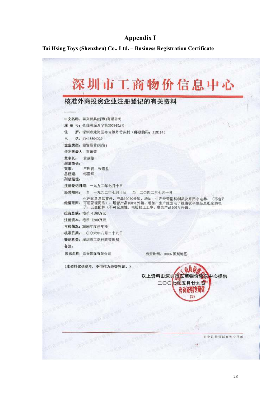# Appendix I

Tai Hsing Toys (Shenzhen) Co., Ltd. – Business Registration Certificate

|                   | 核准外商投资企业注册登记的有关资料                                                                                                           |  |
|-------------------|-----------------------------------------------------------------------------------------------------------------------------|--|
|                   | 中文名称: 秦兴玩具(深圳)有限公司                                                                                                          |  |
|                   | 注 册 号: 企独粤深总字第300940A号                                                                                                      |  |
| 住                 | 所:深圳市龙岗区布吉镇丹竹头村(邮政编码: 518114)                                                                                               |  |
|                   | 电话: 13418504229                                                                                                             |  |
|                   | 企业类型; 独资经营(港资)                                                                                                              |  |
|                   | 法定代表人: 黄莲肇                                                                                                                  |  |
| 董事长: 黄建肇<br>副董事长: |                                                                                                                             |  |
|                   | 董事: 王胜健 张肃堂                                                                                                                 |  |
| 总经理: 邹国辉<br>副总经理: |                                                                                                                             |  |
|                   | 注册登记日期: 一九九二年七月十日                                                                                                           |  |
|                   | 经营期限: 自 一九九二年七月十日 至 二〇四二年七月十日                                                                                               |  |
|                   | 生产玩具及其零件,产品100%外销。增加:生产经营塑料制品及家用小电器。(不含许<br>经营范圈:可证管理商品)。增营产品100%外销。增加:生产经营电子线路板半成品及配套的电<br>子、五金配件(不可设腐蚀、电镀加工工序,增营产品100%外销。 |  |
|                   | 投资总额: 港币 4100万元                                                                                                             |  |
|                   | 注册资本: 港币 3200万元                                                                                                             |  |
|                   | 年检情况: 2006年度已年检                                                                                                             |  |
|                   | 核准日期: 二〇〇六年八月二十八日                                                                                                           |  |
|                   | 登记机关: 深圳市工商行政管理局                                                                                                            |  |
| 备注:               |                                                                                                                             |  |
|                   | 股东名称: 泰兴国际有限公司<br>出资比例: 100% 国别地区:                                                                                          |  |
|                   | (本资料仅供参考, 不得作为经营凭证。)<br>、新闻<br>以上资料由深圳市江商物价信息中心提供                                                                           |  |
|                   | 二〇〇七年五月廿九日<br>咨询证明专用章<br>(3)                                                                                                |  |
|                   |                                                                                                                             |  |
|                   |                                                                                                                             |  |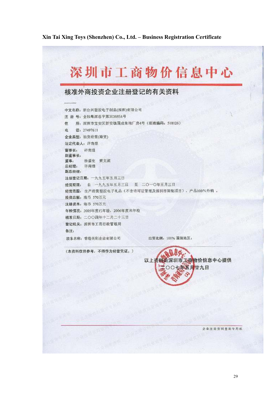# Xin Tai Xing Toys (Shenzhen) Co., Ltd. – Business Registration Certificate

|              | 核准外商投资企业注册登记的有关资料                            |                  |                    |  |
|--------------|----------------------------------------------|------------------|--------------------|--|
|              |                                              |                  |                    |  |
|              | 中文名称: 新台兴塑胶电子制品(深圳)有限公司                      |                  |                    |  |
|              | 注 册 号: 企独粤深总字第303685A号                       |                  |                    |  |
| 件            | 所: 深圳市宝安区新安镇固成朱坳厂房4号(邮政编码: 518126)           |                  |                    |  |
| 电话: 27497611 |                                              |                  |                    |  |
|              | 企业类型:独资经营(港资)                                |                  |                    |  |
| 法定代表人: 许南煌   |                                              |                  |                    |  |
| 董事长: 许南煌     |                                              |                  |                    |  |
| 副董事长:        | 董事: 徐盛宏 黄文滨                                  |                  |                    |  |
| 总经理: 许南煌     |                                              |                  |                    |  |
| 副总经理:        |                                              |                  |                    |  |
|              | 注册登记日期: 一九九五年五月三日                            |                  |                    |  |
|              | 经营期限: 自 一九九五年五月三日 至 二〇一〇年五月三日                |                  |                    |  |
|              | 经营范围: 生产经营塑胶电子礼品(不含许可证管理及深圳市限制项目),产品100%外销,  |                  |                    |  |
|              | 投资总额: 港币 570万元                               |                  |                    |  |
|              | 注册资本: 港币 570万元<br>年检情况: 2005年度已年检, 2006年度未年检 |                  |                    |  |
|              | 核准日期: 二〇〇四年十二月二十三日                           |                  |                    |  |
|              | 登记机关: 深圳市工商行政管理局                             |                  |                    |  |
| 备注:          |                                              |                  |                    |  |
|              | 股东名称: 香港英利企业有限公司                             | 出资比例: 100% 国别地区: |                    |  |
|              | (本资料仅供参考,不得作为经营凭证。)                          |                  |                    |  |
|              |                                              |                  | 以上茶糖出深圳市工商物价信息中心提供 |  |
|              |                                              | ○○七年五月廿九日        |                    |  |
|              |                                              |                  |                    |  |
|              |                                              |                  |                    |  |
|              |                                              |                  |                    |  |
|              |                                              |                  |                    |  |
|              |                                              |                  |                    |  |
|              |                                              |                  |                    |  |
|              |                                              |                  |                    |  |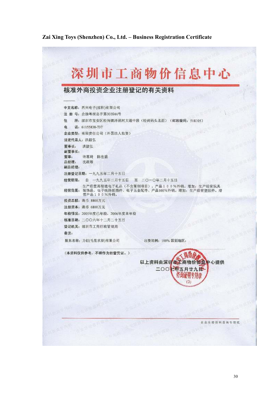# Zai Xing Toys (Shenzhen) Co., Ltd. – Business Registration Certificate

|            | 核准外商投资企业注册登记的有关资料                                                                                       |
|------------|---------------------------------------------------------------------------------------------------------|
|            |                                                                                                         |
|            | 中文名称: 再兴电子(深圳)有限公司                                                                                      |
|            | 注 册 号: 企独粤深总字第303544号                                                                                   |
| 仹          |                                                                                                         |
|            | 电话: 61155838-737                                                                                        |
|            | 企业类型;有限责任公司(外国法人独资)                                                                                     |
|            | 法定代表人: 洪毅弘                                                                                              |
| 董事长: 洪毅弘   |                                                                                                         |
| 副董事长:      |                                                                                                         |
| 总经理: 沈政雄   | 董事: 许惠琦 陈在盛                                                                                             |
| 副总经理:      |                                                                                                         |
|            | 注册登记日期: 一九九五年二月十五日                                                                                      |
|            | 经营期限: 自 一九九五年二月十五日 至 二〇一〇年二月十五日                                                                         |
|            | 生产经营高智能电子礼品(不含限制项目),产品100%外销。增加:生产经营玩具<br>经营范围: 装饰品、电子线路板插件、电子五金配件、产品100%外销。增加: 生产经营塑胶件。增<br>营产品100%外销。 |
|            | 投资总额: 港币 8800万元                                                                                         |
|            | 注册资本: 港币 6800万元                                                                                         |
|            | 年检情况: 2005年度已年检, 2006年度未年检                                                                              |
|            | 核准日期: 二〇〇六年十二月二十五日                                                                                      |
|            | 登记机关: 深圳市工商行政管理局                                                                                        |
| 备注:        |                                                                                                         |
|            | 股东名称: 力创(毛里求斯)有限公司<br>出资比例: 100% 国别地区:                                                                  |
|            |                                                                                                         |
|            | (本资料仅供参考,不得作为经营凭证。)                                                                                     |
|            | EWT.<br>以上资料由深圳市工商物价信息中心提供                                                                              |
|            | <b>AWERIA</b><br>二〇〇七年五月廿九日~                                                                            |
|            | <b>ARMITERIA</b><br>昏窗延明专用章                                                                             |
|            | (3)                                                                                                     |
|            |                                                                                                         |
|            | 大阪市をある                                                                                                  |
|            | <b>SENVAN</b><br><b>M WI</b>                                                                            |
| WEST OF NO | <b>ESYSTIM</b><br>三甲甲酸乙酸                                                                                |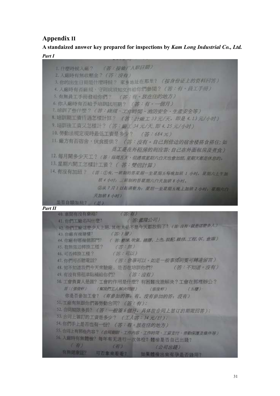# Appendix II

A standaized answer key prepared for inspections by Kam Long Industrial Co., Ltd. Part I

(答:按照厂人职日期) 1. 什麼時候入廠? 2. 入廠時有無收壓金? (答:沒有) 3. 你的出生日期是什麼時候? 家乡地址在那里? (按身份证上的资料问答) 4. 入廠時有否確視·守則或須知文件給你們參閱? (答: 有· 頁工手冊) 5. 有無員工手冊發給你們? (答:有,放在住的地方) 6. 你入廠時有否給予培訓試用期? (答:有。一個月) 7, 培訓了些什麼? (答: 版理·工作時間, 消防安全·生產安全等) 8. 培訓期工資行過怎樣計算? (答: HAR I 33 元/天, 即是 4.13 元/小时) 9. 培訓後工資又怎樣計? (答: 廠」34元/天. 即4.25元/小时) 10. 勞動法規定現時最低工資是多少? (答:684元) 11. 廠方有否宿舍, 伙食提供? (答:沒有·自己到傍边的宿舍楼搭食搭住;如 员工是在外租房的则应答:自己在外面租房及煮食) 12. 每月開多少天工? (答:每周五天,但通常星期六白天也會加班,星期天都是休息的, 13. 星期六開工怎樣計工資? (答: 雙倍計算) 14. 有沒有加班? (否:①A. 一班制的各里期一全星期五每晚加班 1 小时, 星期六上平加 班 4 小叶: 三期制的普遍明六白天加研8 小叶。 ②从1月1日起调整为:星期一至星期五晚上加班2小时:星期大白 天加班 8 小时) 是否自顧加班? (本) Part II

| 40. 車間有沒有要箱?<br>(答:有)                                 |  |
|-------------------------------------------------------|--|
| (答:鑑隆公司)<br>41. 你們工廠名叫什麼?                             |  |
| 42. 你們工廠這麼少人上班,其他人是不是今天都放假了? (答:沒有·就是認麼多人)            |  |
| 43. 你戴有幾層樓7. (答:5層)                                   |  |
| 44. 你廠有哪幾個部門? (答: 壓條: 吹氣, 磨膠, 上色, 裝配, 維修, 工程, OC, 倉庫) |  |
| 45. 有無強迫轉換工種? ( ) ( ) ( ) ( ) ( ) ) ( )               |  |
| 46. 可吉轉換工種? (答:可以)                                    |  |
| 47. 你們可否聽電話? (答:意事可以,如是一般事情則隻可轉達留言)                   |  |
| 48. 知不知道我們今天來驗廠, 是否在培訓你們? (答:不知道, 沒有)                 |  |
| 49. 有沒有房租津贴補給你們? (答:沒有)                               |  |
| 50. 工會負責人是誰? 工會的作用是什麽? 有困難找誰解決 ? 工會在那裡辦公 ?            |  |
| 普:(張俊軒) (解我們工人解決問題) (張俊軒)<br>(A, B)                   |  |
| 你是否参加工管? (有參加的答: 有, 没有参加的答: 沒有)                       |  |
| 51. 工廠有無跟你們簽勞動合同? (答:有);                              |  |
| 52. 合同期限多長? (答:一般等 6 個月, 具体按合同上签订的期限回答);              |  |
| 53. 合同上海訂的工资是多少? (工人答:34元/日);                         |  |
| 54. 你们手上是否也有一份? (答:有。放在住的地方)                          |  |
| 55. 合同上有罪些内容? (合同期間、工作内容·工作時間·工資支付·差點保護及媒件等)          |  |
| 56. 入路時有無體檢? 每年有无进行一次体检? 體檢是否自己出錢?                    |  |
| (4)<br>$\left( \frac{\pi}{H} \right)$<br>(公司出线)       |  |
| 有無健康証? 可否实来看看? 如果體格出來有孕是否缝用?                          |  |
|                                                       |  |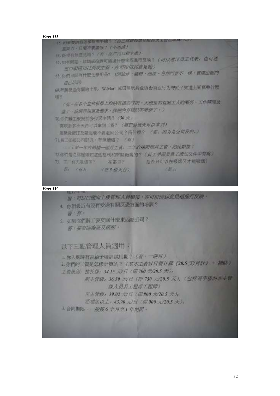

#### Part IV

第: 可以口頭向上級管理人員學報, 亦可投信到意見箱進行反映。 4. 你們最近有沒有受過有關反恐方面的培訓?

答:有。

5. 如果你們辭工要交回什麼東西給公司? 答:型罗回喷証及廠服。

以下三點管理人員適用:

1. 你入廠時有否給予培訓試用期? (有,一個月) 2. 你們的工資是怎樣計算的? (基本工資以日薪计算 《20.5 天/月計》 + 補貼) 工资级别: 拉长级: 34.15 元/日(即700 元/20.5 天): 副主管级: 36.59 元/日 (即 750 元/20.5 天): (包括写字楼的非主管 级人员及工程部工程师》 正主管线: 39.02 元/日 《即800 元/20.5 天》:

经理级以上, 43.90 元/日 (即900 元/20.5 天)。

3. 合同期限: 一般等6个月至1年期限。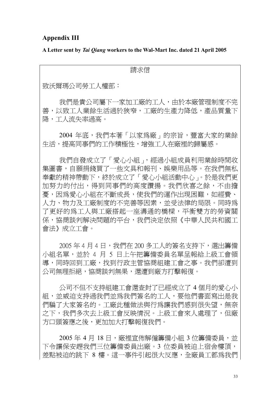# Appendix III

A Letter sent by Tai Qiang workers to the Wal-Mart Inc. dated 21 April 2005

請求信

致沃爾瑪公司勞工人權部:

我們是貴公司屬下一家加工廠的工人,由於本廠管理制度不完 善,以致工人業餘生活過於狹窄,工廠的生產力降低,產品質量下 降,工人流失率過高。

2004年底,我們本著「以家為廠」的宗旨,豐富大家的業餘 生活,提高同事們的工作積極性,增強工人在廠裡的歸屬感。

我們自發成立了「愛心小組」,經過小組成員利用業餘時間收 集圖書,自願捐錢買了一些文具和報刊、娛樂用品等。在我們無私 奉獻的精神帶動下,終於成立了「愛心小組活動中心」。於是我們更 加努力的付出,得到同事們的高度讚揚。我們欣喜之餘,不由擔 憂,因為愛心小組在不斷成長,使我們的運作出現困難,如經費、 人力、物力及工廠制度的不完善等因素,並受法律的局限。同時為 了更好的為工人與工廠搭起一座溝通的橋樑,平衡雙方的勞資關 係,協商談判解決問題的平台,我們決定依照《中華人民共和國工 會法》成立工會。

2005年4月4日,我們在 200多工人的簽名支持下,選出籌備 小組名單,並於 4 月 5 日上午把籌備委員名單呈報給上級工會領 導,同時回到工廠,找到行政主管協商組建工會之事。我們卻遭到 公司無理拒絕,協商談判無果,還遭到廠方打擊報復。

公司不但不支持組建工會還查封了已經成立了 4 個月的愛心小 組,並威迫支持過我們並為我們簽名的工人,要他們書面寫出是我 們騙了大家簽名的。工廠此種做法與行為讓我們感到很失望,無奈 之下,我們多次去上級工會反映情況。上級工會來人處理了,但廠 方口頭簽應之後,更加加大打擊報復我們。

2005年 4 月 18 日, 廠裡宣佈解僱籌備小組 3 位籌備委員, 並 下令讓保安趕我們三位籌備委員出廠。3 位委員被迫上宿舍樓頂, 差點被迫的跳下 8 樓。這一事件引起很大反應,全廠員工都為我們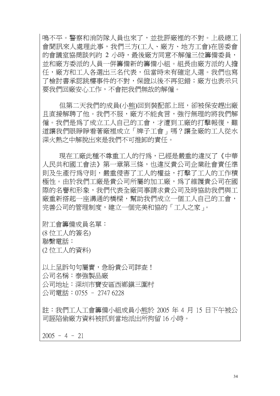鳴不平。警察和消防隊人員也來了,並批評廠裡的不對。上級總工 會聞訊來人處理此事,我們三方(工人、廠方、地方工會)在居委會 的會議室協商談判約 2 小時,最後廠方同意不解僱三位籌備委員, 並和廠方委派的人員一併籌備新的籌備小組。組長由廠方派的人擔 任,廠方和工人各選出三名代表,但當時未有確定人選。我們也寫 了檢討書承認跳樓事件的不對,保證以後不再犯錯;廠方也表示只 要我們回廠安心工作,不會把我們無故的解僱。

但第二天我們的成員(小熊)回到裝配部上班,卻被保安趕出廠 且直接解聘了他。我們不服,廠方不能食言,強行無理的將我們解 僱。我們是為了成立工人自己的工會,才遭到工廠的打擊報復,難 道讓我們眼睜睜看著廠裡成立「牌子工會」嗎?讓全廠的工人從水 深火熱之中解脫出來是我們不可推卸的責任。

現在工廠此種不尊重工人的行為,已經是嚴重的違反了《中華 人民共和國工會法》第一章第三條,也違反貴公司企業社會責任準 則及生產行為守則,嚴重侵害了工人的權益,打擊了工人的工作積 極性。由於我們工廠是貴公司所屬的加工廠,為了維護貴公司在國 際的名譽和形象,我們代表全廠同事請求貴公司及時協助我們與工 廠重新搭起一座溝通的橋樑,幫助我們成立一個工人自己的工會, 完善公司的管理制度,建立一個完美和協的「工人之家」。

附工會籌備成員名單︰ (8 位工人的簽名) 聯繫電話:

(2 位工人的資料)

以上呈訴句句屬實,急盼貴公司詳查! 公司名稱︰泰強製品廠 公司地址︰深圳市寶安區西鄉鎮三圍村 公司電話︰0755 – 2747 6228

註︰我們工人工會籌備小組成員小熊於 2005 年 4 月 15 日下午被公 司誣陷偷廠方資料被抓到當地派出所拘留 16 小時。

 $2005 - 4 - 21$